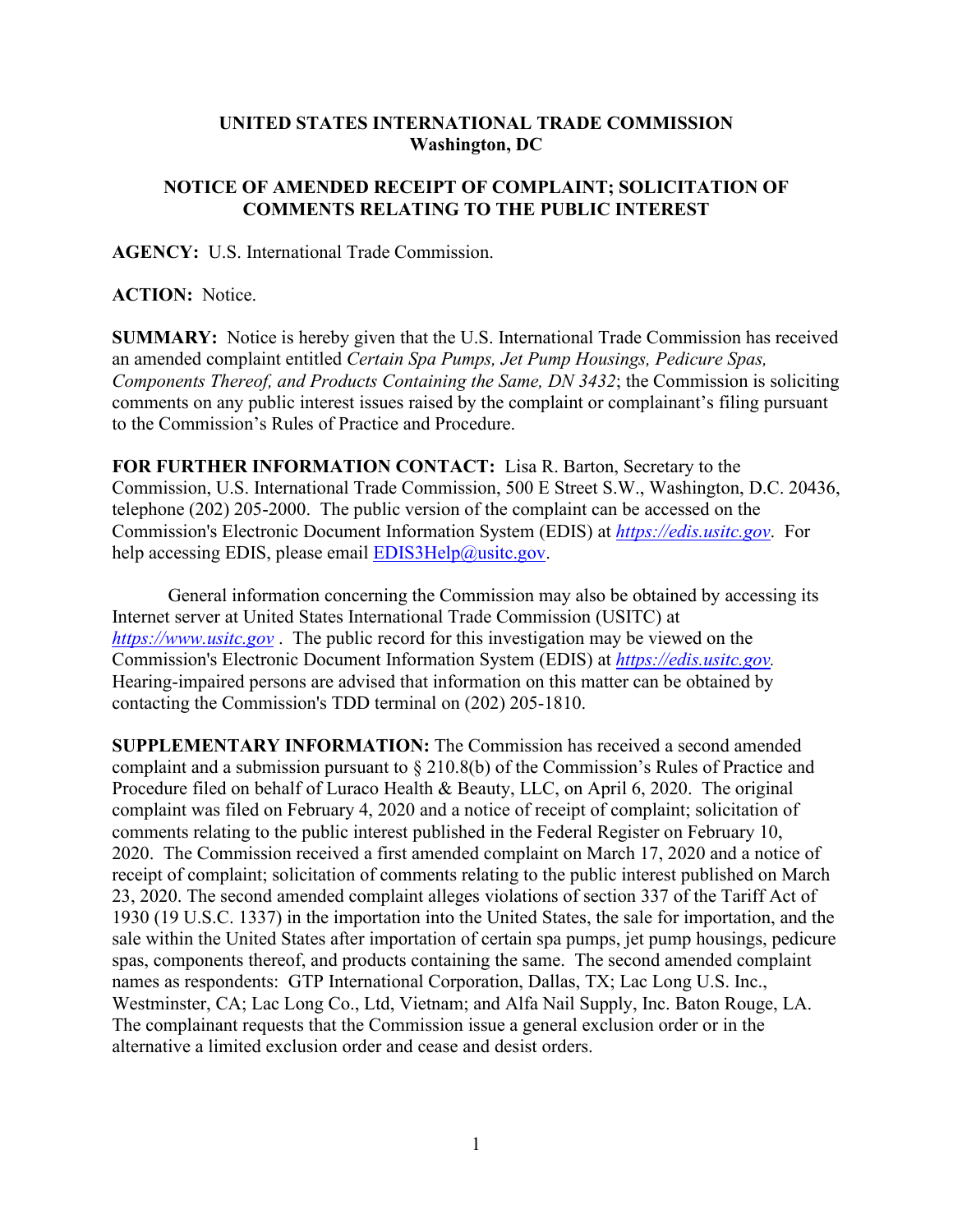## **UNITED STATES INTERNATIONAL TRADE COMMISSION Washington, DC**

## **NOTICE OF AMENDED RECEIPT OF COMPLAINT; SOLICITATION OF COMMENTS RELATING TO THE PUBLIC INTEREST**

**AGENCY:** U.S. International Trade Commission.

**ACTION:** Notice.

**SUMMARY:** Notice is hereby given that the U.S. International Trade Commission has received an amended complaint entitled *Certain Spa Pumps, Jet Pump Housings, Pedicure Spas, Components Thereof, and Products Containing the Same, DN 3432*; the Commission is soliciting comments on any public interest issues raised by the complaint or complainant's filing pursuant to the Commission's Rules of Practice and Procedure.

**FOR FURTHER INFORMATION CONTACT:** Lisa R. Barton, Secretary to the Commission, U.S. International Trade Commission, 500 E Street S.W., Washington, D.C. 20436, telephone (202) 205-2000. The public version of the complaint can be accessed on the Commission's Electronic Document Information System (EDIS) at *[https://edis.usitc.gov](https://edis.usitc.gov/)*. For help accessing EDIS, please email  $EDIS3Help@usite.gov$ .

General information concerning the Commission may also be obtained by accessing its Internet server at United States International Trade Commission (USITC) at *[https://www.usitc.gov](https://www.usitc.gov/)* . The public record for this investigation may be viewed on the Commission's Electronic Document Information System (EDIS) at *[https://edis.usitc.gov.](https://edis.usitc.gov/)* Hearing-impaired persons are advised that information on this matter can be obtained by contacting the Commission's TDD terminal on (202) 205-1810.

**SUPPLEMENTARY INFORMATION:** The Commission has received a second amended complaint and a submission pursuant to § 210.8(b) of the Commission's Rules of Practice and Procedure filed on behalf of Luraco Health & Beauty, LLC, on April 6, 2020. The original complaint was filed on February 4, 2020 and a notice of receipt of complaint; solicitation of comments relating to the public interest published in the Federal Register on February 10, 2020. The Commission received a first amended complaint on March 17, 2020 and a notice of receipt of complaint; solicitation of comments relating to the public interest published on March 23, 2020. The second amended complaint alleges violations of section 337 of the Tariff Act of 1930 (19 U.S.C. 1337) in the importation into the United States, the sale for importation, and the sale within the United States after importation of certain spa pumps, jet pump housings, pedicure spas, components thereof, and products containing the same. The second amended complaint names as respondents: GTP International Corporation, Dallas, TX; Lac Long U.S. Inc., Westminster, CA; Lac Long Co., Ltd, Vietnam; and Alfa Nail Supply, Inc. Baton Rouge, LA. The complainant requests that the Commission issue a general exclusion order or in the alternative a limited exclusion order and cease and desist orders.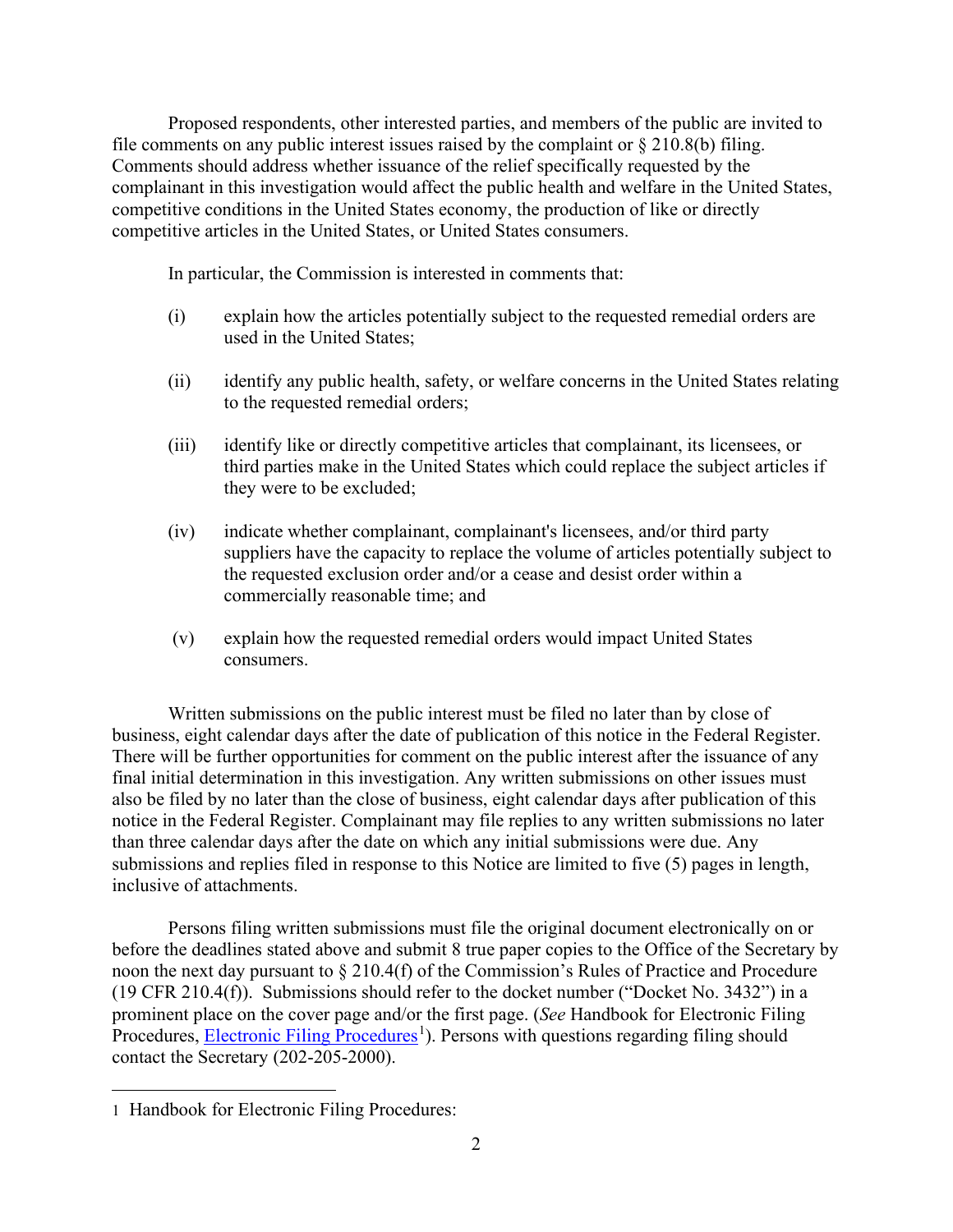Proposed respondents, other interested parties, and members of the public are invited to file comments on any public interest issues raised by the complaint or  $\S 210.8(b)$  filing. Comments should address whether issuance of the relief specifically requested by the complainant in this investigation would affect the public health and welfare in the United States, competitive conditions in the United States economy, the production of like or directly competitive articles in the United States, or United States consumers.

In particular, the Commission is interested in comments that:

- (i) explain how the articles potentially subject to the requested remedial orders are used in the United States;
- (ii) identify any public health, safety, or welfare concerns in the United States relating to the requested remedial orders;
- (iii) identify like or directly competitive articles that complainant, its licensees, or third parties make in the United States which could replace the subject articles if they were to be excluded;
- (iv) indicate whether complainant, complainant's licensees, and/or third party suppliers have the capacity to replace the volume of articles potentially subject to the requested exclusion order and/or a cease and desist order within a commercially reasonable time; and
- (v) explain how the requested remedial orders would impact United States consumers.

Written submissions on the public interest must be filed no later than by close of business, eight calendar days after the date of publication of this notice in the Federal Register. There will be further opportunities for comment on the public interest after the issuance of any final initial determination in this investigation. Any written submissions on other issues must also be filed by no later than the close of business, eight calendar days after publication of this notice in the Federal Register. Complainant may file replies to any written submissions no later than three calendar days after the date on which any initial submissions were due. Any submissions and replies filed in response to this Notice are limited to five (5) pages in length, inclusive of attachments.

Persons filing written submissions must file the original document electronically on or before the deadlines stated above and submit 8 true paper copies to the Office of the Secretary by noon the next day pursuant to § 210.4(f) of the Commission's Rules of Practice and Procedure (19 CFR 210.4(f)). Submissions should refer to the docket number ("Docket No. 3432") in a prominent place on the cover page and/or the first page. (*See* Handbook for Electronic Filing Procedures, **Electronic Filing Procedures**<sup>[1](#page-1-0)</sup>). Persons with questions regarding filing should contact the Secretary (202-205-2000).

<span id="page-1-0"></span><sup>1</sup> Handbook for Electronic Filing Procedures: